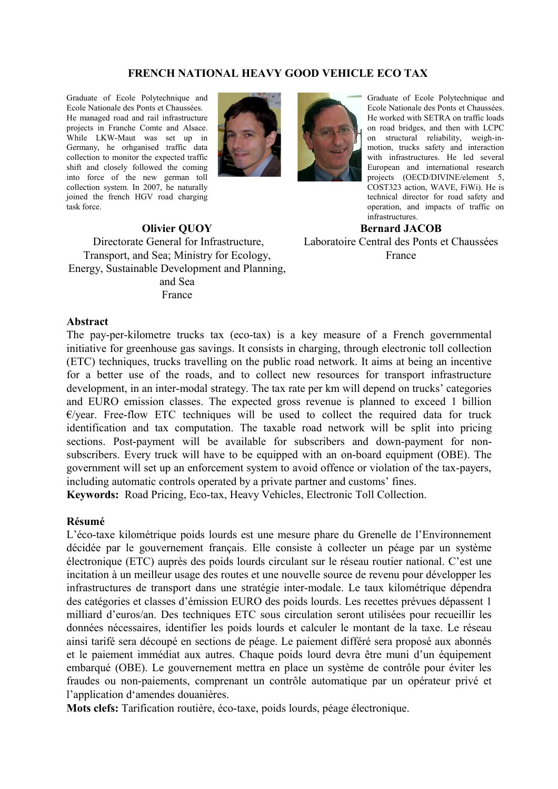#### **FRENCH NATIONAL HEAVY GOOD VEHICLE ECO TAX**

Graduate of Ecole Polytechnique and Ecole Nationale des Ponts et Chaussées. He managed road and rail infrastructure projects in Franche Comte and Alsace. While LKW-Maut was set up in Germany, he orhganised traffic data collection to monitor the expected traffic shift and closely followed the coming into force of the new german toll collection system. In 2007, he naturally joined the french HGV road charging task force.



Graduate of Ecole Polytechnique and Ecole Nationale des Ponts et Chaussées. He worked with SETRA on traffic loads on road bridges, and then with LCPC on structural reliability, weigh-inmotion, trucks safety and interaction with infrastructures. He led several European and international research projects (OECD/DIVINE/element 5, COST323 action, WAVE, FiWi). He is technical director for road safety and operation, and impacts of traffic on infrastructures.

## **Olivier QUOY** Directorate General for Infrastructure, Transport, and Sea; Ministry for Ecology, Energy, Sustainable Development and Planning, and Sea France

**Bernard JACOB** Laboratoire Central des Ponts et Chaussées France

#### **Abstract**

The pay-per-kilometre trucks tax (eco-tax) is a key measure of a French governmental initiative for greenhouse gas savings. It consists in charging, through electronic toll collection (ETC) techniques, trucks travelling on the public road network. It aims at being an incentive for a better use of the roads, and to collect new resources for transport infrastructure development, in an inter-modal strategy. The tax rate per km will depend on trucks' categories and EURO emission classes. The expected gross revenue is planned to exceed 1 billion  $E$ /year. Free-flow ETC techniques will be used to collect the required data for truck identification and tax computation. The taxable road network will be split into pricing sections. Post-payment will be available for subscribers and down-payment for nonsubscribers. Every truck will have to be equipped with an on-board equipment (OBE). The government will set up an enforcement system to avoid offence or violation of the tax-payers, including automatic controls operated by a private partner and customs' fines.

**Keywords:** Road Pricing, Eco-tax, Heavy Vehicles, Electronic Toll Collection.

#### **Résumé**

L'éco-taxe kilométrique poids lourds est une mesure phare du Grenelle de l'Environnement décidée par le gouvernement français. Elle consiste à collecter un péage par un système électronique (ETC) auprès des poids lourds circulant sur le réseau routier national. C'est une incitation à un meilleur usage des routes et une nouvelle source de revenu pour développer les infrastructures de transport dans une stratégie inter-modale. Le taux kilométrique dépendra des catégories et classes d'émission EURO des poids lourds. Les recettes prévues dépassent 1 milliard d'euros/an. Des techniques ETC sous circulation seront utilisées pour recueillir les données nécessaires, identifier les poids lourds et calculer le montant de la taxe. Le réseau ainsi tarifé sera découpé en sections de péage. Le paiement différé sera proposé aux abonnés et le paiement immédiat aux autres. Chaque poids lourd devra être muni d'un équipement embarqué (OBE). Le gouvernement mettra en place un système de contrôle pour éviter les fraudes ou non-paiements, comprenant un contrôle automatique par un opérateur privé et l'application d'amendes douanières.

**Mots clefs:** Tarification routière, éco-taxe, poids lourds, péage électronique.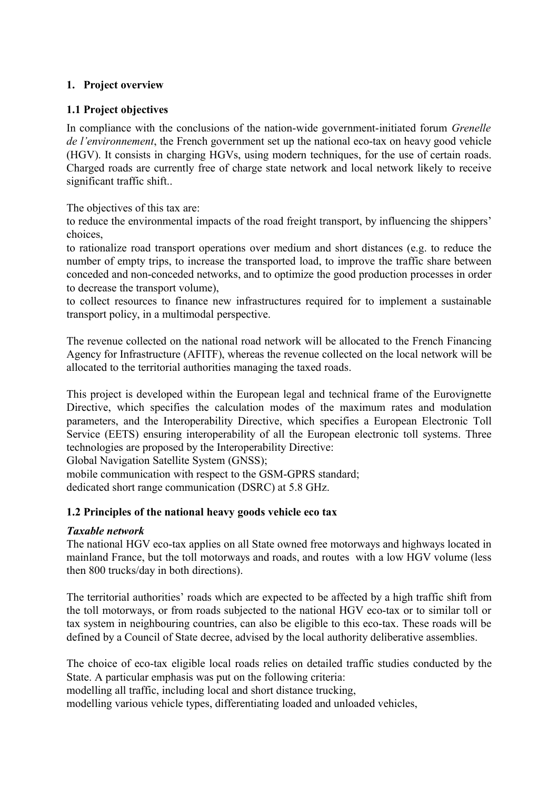# **1. Project overview**

## **1.1 Project objectives**

In compliance with the conclusions of the nation-wide government-initiated forum *Grenelle de l'environnement*, the French government set up the national eco-tax on heavy good vehicle (HGV). It consists in charging HGVs, using modern techniques, for the use of certain roads. Charged roads are currently free of charge state network and local network likely to receive significant traffic shift..

The objectives of this tax are:

to reduce the environmental impacts of the road freight transport, by influencing the shippers' choices,

to rationalize road transport operations over medium and short distances (e.g. to reduce the number of empty trips, to increase the transported load, to improve the traffic share between conceded and non-conceded networks, and to optimize the good production processes in order to decrease the transport volume),

to collect resources to finance new infrastructures required for to implement a sustainable transport policy, in a multimodal perspective.

The revenue collected on the national road network will be allocated to the French Financing Agency for Infrastructure (AFITF), whereas the revenue collected on the local network will be allocated to the territorial authorities managing the taxed roads.

This project is developed within the European legal and technical frame of the Eurovignette Directive, which specifies the calculation modes of the maximum rates and modulation parameters, and the Interoperability Directive, which specifies a European Electronic Toll Service (EETS) ensuring interoperability of all the European electronic toll systems. Three technologies are proposed by the Interoperability Directive:

Global Navigation Satellite System (GNSS);

mobile communication with respect to the GSM-GPRS standard; dedicated short range communication (DSRC) at 5.8 GHz.

# **1.2 Principles of the national heavy goods vehicle eco tax**

## *Taxable network*

The national HGV eco-tax applies on all State owned free motorways and highways located in mainland France, but the toll motorways and roads, and routes with a low HGV volume (less then 800 trucks/day in both directions).

The territorial authorities' roads which are expected to be affected by a high traffic shift from the toll motorways, or from roads subjected to the national HGV eco-tax or to similar toll or tax system in neighbouring countries, can also be eligible to this eco-tax. These roads will be defined by a Council of State decree, advised by the local authority deliberative assemblies.

The choice of eco-tax eligible local roads relies on detailed traffic studies conducted by the State. A particular emphasis was put on the following criteria:

modelling all traffic, including local and short distance trucking,

modelling various vehicle types, differentiating loaded and unloaded vehicles,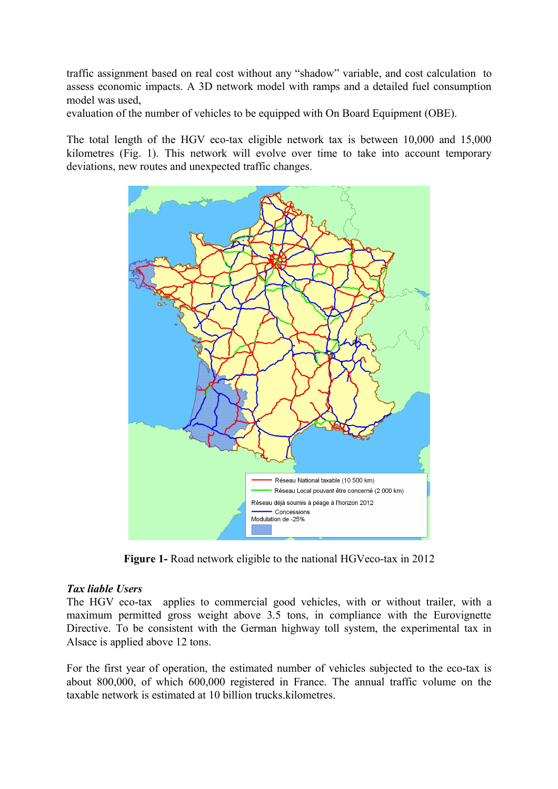traffic assignment based on real cost without any "shadow" variable, and cost calculation to assess economic impacts. A 3D network model with ramps and a detailed fuel consumption model was used,

evaluation of the number of vehicles to be equipped with On Board Equipment (OBE).

The total length of the HGV eco-tax eligible network tax is between 10,000 and 15,000 kilometres (Fig. 1). This network will evolve over time to take into account temporary deviations, new routes and unexpected traffic changes.



**Figure 1-** Road network eligible to the national HGVeco-tax in 2012

## *Tax liable Users*

The HGV eco-tax applies to commercial good vehicles, with or without trailer, with a maximum permitted gross weight above 3.5 tons, in compliance with the Eurovignette Directive. To be consistent with the German highway toll system, the experimental tax in Alsace is applied above 12 tons.

For the first year of operation, the estimated number of vehicles subjected to the eco-tax is about 800,000, of which 600,000 registered in France. The annual traffic volume on the taxable network is estimated at 10 billion trucks.kilometres.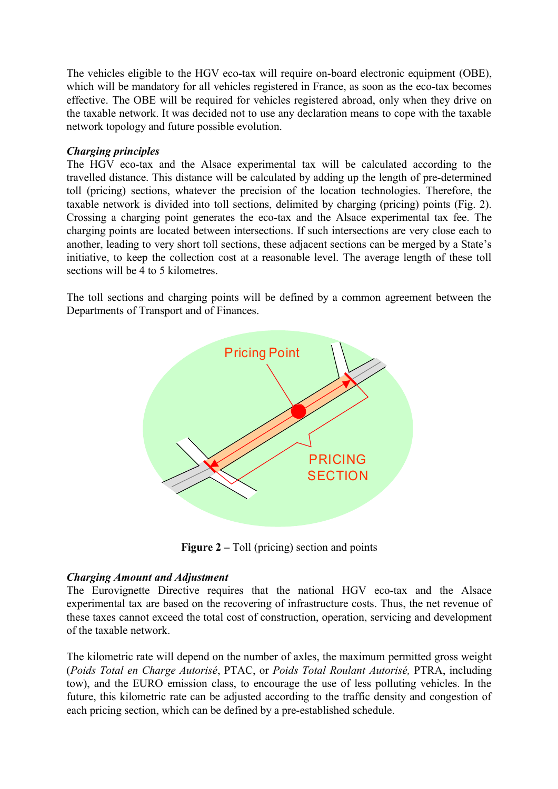The vehicles eligible to the HGV eco-tax will require on-board electronic equipment (OBE), which will be mandatory for all vehicles registered in France, as soon as the eco-tax becomes effective. The OBE will be required for vehicles registered abroad, only when they drive on the taxable network. It was decided not to use any declaration means to cope with the taxable network topology and future possible evolution.

### *Charging principles*

The HGV eco-tax and the Alsace experimental tax will be calculated according to the travelled distance. This distance will be calculated by adding up the length of pre-determined toll (pricing) sections, whatever the precision of the location technologies. Therefore, the taxable network is divided into toll sections, delimited by charging (pricing) points (Fig. 2). Crossing a charging point generates the eco-tax and the Alsace experimental tax fee. The charging points are located between intersections. If such intersections are very close each to another, leading to very short toll sections, these adjacent sections can be merged by a State's initiative, to keep the collection cost at a reasonable level. The average length of these toll sections will be 4 to 5 kilometres.

The toll sections and charging points will be defined by a common agreement between the Departments of Transport and of Finances.



**Figure 2** – Toll (pricing) section and points

## *Charging Amount and Adjustment*

The Eurovignette Directive requires that the national HGV eco-tax and the Alsace experimental tax are based on the recovering of infrastructure costs. Thus, the net revenue of these taxes cannot exceed the total cost of construction, operation, servicing and development of the taxable network.

The kilometric rate will depend on the number of axles, the maximum permitted gross weight (*Poids Total en Charge Autorisé*, PTAC, or *Poids Total Roulant Autorisé,* PTRA, including tow), and the EURO emission class, to encourage the use of less polluting vehicles. In the future, this kilometric rate can be adjusted according to the traffic density and congestion of each pricing section, which can be defined by a pre-established schedule.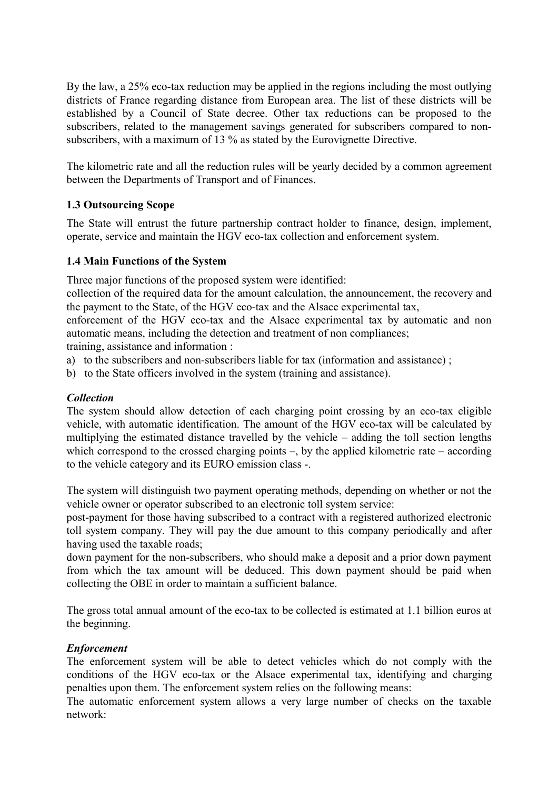By the law, a 25% eco-tax reduction may be applied in the regions including the most outlying districts of France regarding distance from European area. The list of these districts will be established by a Council of State decree. Other tax reductions can be proposed to the subscribers, related to the management savings generated for subscribers compared to nonsubscribers, with a maximum of 13 % as stated by the Eurovignette Directive.

The kilometric rate and all the reduction rules will be yearly decided by a common agreement between the Departments of Transport and of Finances.

# **1.3 Outsourcing Scope**

The State will entrust the future partnership contract holder to finance, design, implement, operate, service and maintain the HGV eco-tax collection and enforcement system.

## **1.4 Main Functions of the System**

Three major functions of the proposed system were identified:

collection of the required data for the amount calculation, the announcement, the recovery and the payment to the State, of the HGV eco-tax and the Alsace experimental tax,

enforcement of the HGV eco-tax and the Alsace experimental tax by automatic and non automatic means, including the detection and treatment of non compliances;

training, assistance and information :

- a) to the subscribers and non-subscribers liable for tax (information and assistance) ;
- b) to the State officers involved in the system (training and assistance).

## *Collection*

The system should allow detection of each charging point crossing by an eco-tax eligible vehicle, with automatic identification. The amount of the HGV eco-tax will be calculated by multiplying the estimated distance travelled by the vehicle – adding the toll section lengths which correspond to the crossed charging points  $-$ , by the applied kilometric rate  $-$  according to the vehicle category and its EURO emission class -.

The system will distinguish two payment operating methods, depending on whether or not the vehicle owner or operator subscribed to an electronic toll system service:

post-payment for those having subscribed to a contract with a registered authorized electronic toll system company. They will pay the due amount to this company periodically and after having used the taxable roads;

down payment for the non-subscribers, who should make a deposit and a prior down payment from which the tax amount will be deduced. This down payment should be paid when collecting the OBE in order to maintain a sufficient balance.

The gross total annual amount of the eco-tax to be collected is estimated at 1.1 billion euros at the beginning.

## *Enforcement*

The enforcement system will be able to detect vehicles which do not comply with the conditions of the HGV eco-tax or the Alsace experimental tax, identifying and charging penalties upon them. The enforcement system relies on the following means:

The automatic enforcement system allows a very large number of checks on the taxable network: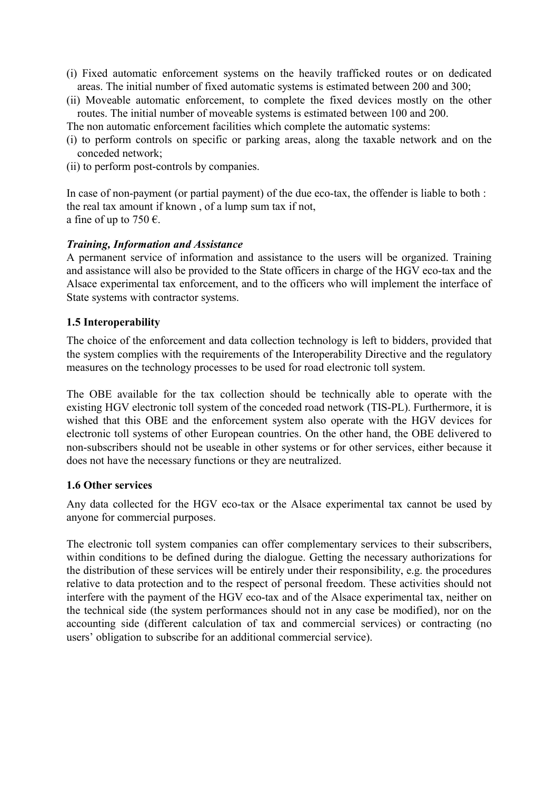- (i) Fixed automatic enforcement systems on the heavily trafficked routes or on dedicated areas. The initial number of fixed automatic systems is estimated between 200 and 300;
- (ii) Moveable automatic enforcement, to complete the fixed devices mostly on the other routes. The initial number of moveable systems is estimated between 100 and 200.
- The non automatic enforcement facilities which complete the automatic systems:
- (i) to perform controls on specific or parking areas, along the taxable network and on the conceded network<sup>-</sup>
- (ii) to perform post-controls by companies.

In case of non-payment (or partial payment) of the due eco-tax, the offender is liable to both : the real tax amount if known , of a lump sum tax if not, a fine of up to 750  $\epsilon$ .

### *Training, Information and Assistance*

A permanent service of information and assistance to the users will be organized. Training and assistance will also be provided to the State officers in charge of the HGV eco-tax and the Alsace experimental tax enforcement, and to the officers who will implement the interface of State systems with contractor systems.

### **1.5 Interoperability**

The choice of the enforcement and data collection technology is left to bidders, provided that the system complies with the requirements of the Interoperability Directive and the regulatory measures on the technology processes to be used for road electronic toll system.

The OBE available for the tax collection should be technically able to operate with the existing HGV electronic toll system of the conceded road network (TIS-PL). Furthermore, it is wished that this OBE and the enforcement system also operate with the HGV devices for electronic toll systems of other European countries. On the other hand, the OBE delivered to non-subscribers should not be useable in other systems or for other services, either because it does not have the necessary functions or they are neutralized.

## **1.6 Other services**

Any data collected for the HGV eco-tax or the Alsace experimental tax cannot be used by anyone for commercial purposes.

The electronic toll system companies can offer complementary services to their subscribers, within conditions to be defined during the dialogue. Getting the necessary authorizations for the distribution of these services will be entirely under their responsibility, e.g. the procedures relative to data protection and to the respect of personal freedom. These activities should not interfere with the payment of the HGV eco-tax and of the Alsace experimental tax, neither on the technical side (the system performances should not in any case be modified), nor on the accounting side (different calculation of tax and commercial services) or contracting (no users' obligation to subscribe for an additional commercial service).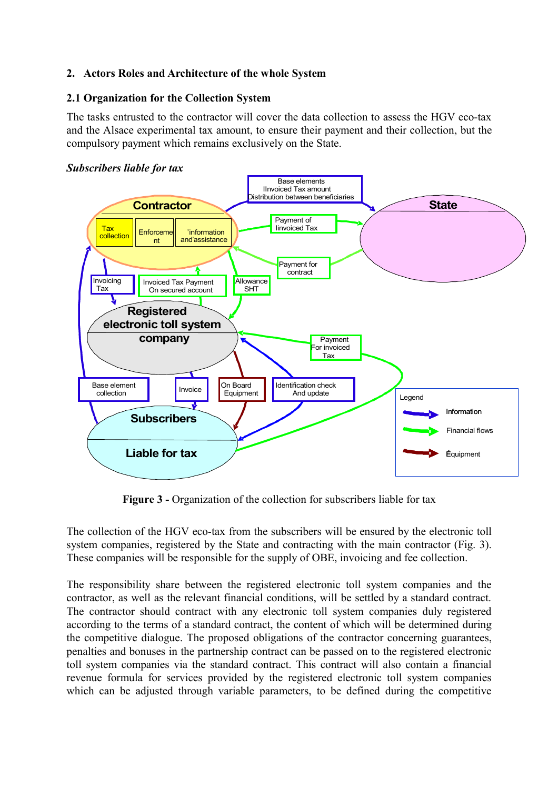# **2. Actors Roles and Architecture of the whole System**

## **2.1 Organization for the Collection System**

The tasks entrusted to the contractor will cover the data collection to assess the HGV eco-tax and the Alsace experimental tax amount, to ensure their payment and their collection, but the compulsory payment which remains exclusively on the State.

### *Subscribers liable for tax*



**Figure 3 -** Organization of the collection for subscribers liable for tax

The collection of the HGV eco-tax from the subscribers will be ensured by the electronic toll system companies, registered by the State and contracting with the main contractor (Fig. 3). These companies will be responsible for the supply of OBE, invoicing and fee collection.

The responsibility share between the registered electronic toll system companies and the contractor, as well as the relevant financial conditions, will be settled by a standard contract. The contractor should contract with any electronic toll system companies duly registered according to the terms of a standard contract, the content of which will be determined during the competitive dialogue. The proposed obligations of the contractor concerning guarantees, penalties and bonuses in the partnership contract can be passed on to the registered electronic toll system companies via the standard contract. This contract will also contain a financial revenue formula for services provided by the registered electronic toll system companies which can be adjusted through variable parameters, to be defined during the competitive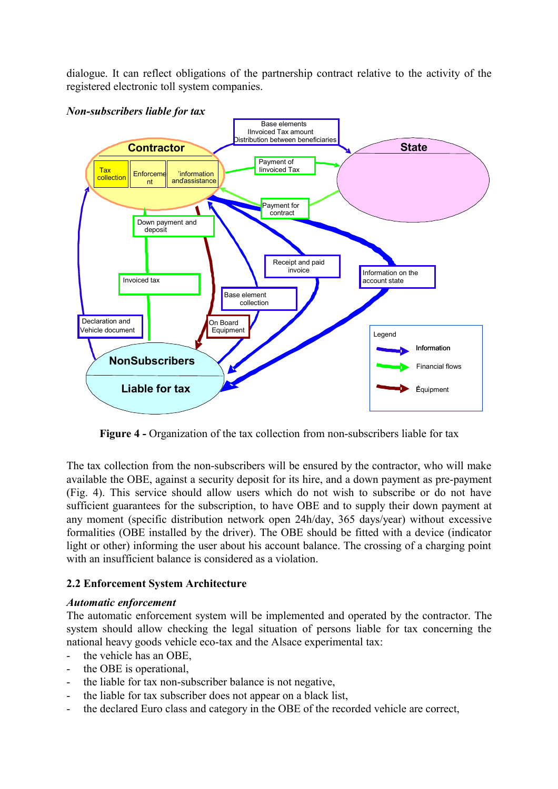dialogue. It can reflect obligations of the partnership contract relative to the activity of the registered electronic toll system companies.



#### *Non-subscribers liable for tax*

**Figure 4 -** Organization of the tax collection from non-subscribers liable for tax

The tax collection from the non-subscribers will be ensured by the contractor, who will make available the OBE, against a security deposit for its hire, and a down payment as pre-payment (Fig. 4). This service should allow users which do not wish to subscribe or do not have sufficient guarantees for the subscription, to have OBE and to supply their down payment at any moment (specific distribution network open 24h/day, 365 days/year) without excessive formalities (OBE installed by the driver). The OBE should be fitted with a device (indicator light or other) informing the user about his account balance. The crossing of a charging point with an insufficient balance is considered as a violation.

## **2.2 Enforcement System Architecture**

#### *Automatic enforcement*

The automatic enforcement system will be implemented and operated by the contractor. The system should allow checking the legal situation of persons liable for tax concerning the national heavy goods vehicle eco-tax and the Alsace experimental tax:

- the vehicle has an OBE.
- the OBE is operational,
- the liable for tax non-subscriber balance is not negative,
- the liable for tax subscriber does not appear on a black list,
- the declared Euro class and category in the OBE of the recorded vehicle are correct,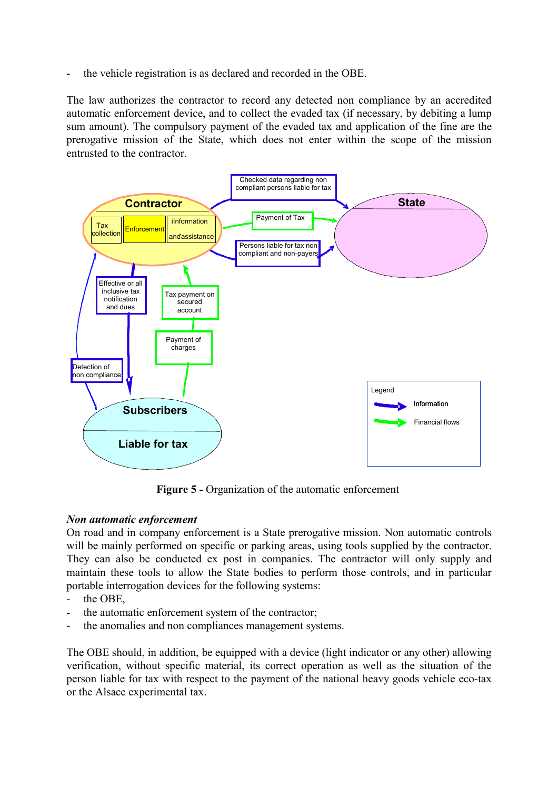the vehicle registration is as declared and recorded in the OBE.

The law authorizes the contractor to record any detected non compliance by an accredited automatic enforcement device, and to collect the evaded tax (if necessary, by debiting a lump sum amount). The compulsory payment of the evaded tax and application of the fine are the prerogative mission of the State, which does not enter within the scope of the mission entrusted to the contractor.



**Figure 5 - Organization of the automatic enforcement** 

## *Non automatic enforcement*

On road and in company enforcement is a State prerogative mission. Non automatic controls will be mainly performed on specific or parking areas, using tools supplied by the contractor. They can also be conducted ex post in companies. The contractor will only supply and maintain these tools to allow the State bodies to perform those controls, and in particular portable interrogation devices for the following systems:

- the OBE,
- the automatic enforcement system of the contractor;
- the anomalies and non compliances management systems.

The OBE should, in addition, be equipped with a device (light indicator or any other) allowing verification, without specific material, its correct operation as well as the situation of the person liable for tax with respect to the payment of the national heavy goods vehicle eco-tax or the Alsace experimental tax.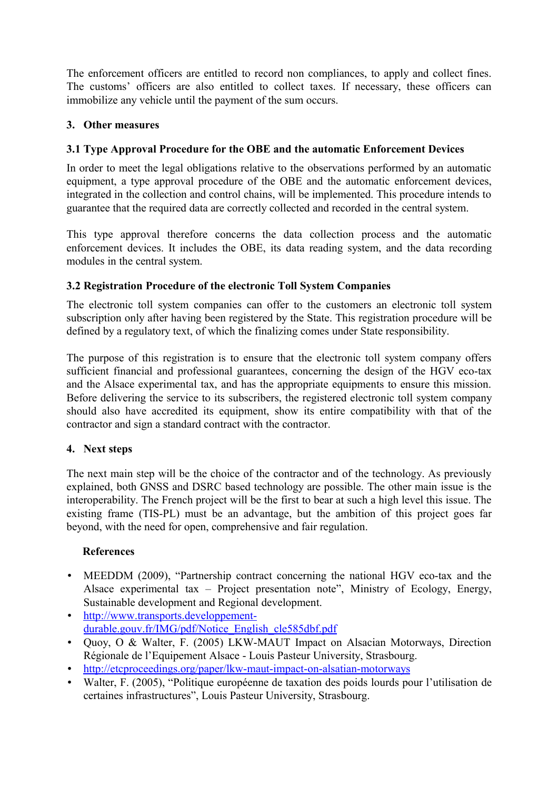The enforcement officers are entitled to record non compliances, to apply and collect fines. The customs' officers are also entitled to collect taxes. If necessary, these officers can immobilize any vehicle until the payment of the sum occurs.

# **3. Other measures**

# **3.1 Type Approval Procedure for the OBE and the automatic Enforcement Devices**

In order to meet the legal obligations relative to the observations performed by an automatic equipment, a type approval procedure of the OBE and the automatic enforcement devices, integrated in the collection and control chains, will be implemented. This procedure intends to guarantee that the required data are correctly collected and recorded in the central system.

This type approval therefore concerns the data collection process and the automatic enforcement devices. It includes the OBE, its data reading system, and the data recording modules in the central system.

# **3.2 Registration Procedure of the electronic Toll System Companies**

The electronic toll system companies can offer to the customers an electronic toll system subscription only after having been registered by the State. This registration procedure will be defined by a regulatory text, of which the finalizing comes under State responsibility.

The purpose of this registration is to ensure that the electronic toll system company offers sufficient financial and professional guarantees, concerning the design of the HGV eco-tax and the Alsace experimental tax, and has the appropriate equipments to ensure this mission. Before delivering the service to its subscribers, the registered electronic toll system company should also have accredited its equipment, show its entire compatibility with that of the contractor and sign a standard contract with the contractor.

## **4. Next steps**

The next main step will be the choice of the contractor and of the technology. As previously explained, both GNSS and DSRC based technology are possible. The other main issue is the interoperability. The French project will be the first to bear at such a high level this issue. The existing frame (TIS-PL) must be an advantage, but the ambition of this project goes far beyond, with the need for open, comprehensive and fair regulation.

## **References**

- MEEDDM (2009), "Partnership contract concerning the national HGV eco-tax and the Alsace experimental tax – Project presentation note", Ministry of Ecology, Energy, Sustainable development and Regional development.
- • [http://www.transports.developpement](http://www.transports.developpement-durable.gouv.fr/IMG/pdf/Notice_English_cle585dbf.pdf)[durable.gouv.fr/IMG/pdf/Notice\\_English\\_cle585dbf.pdf](http://www.transports.developpement-durable.gouv.fr/IMG/pdf/Notice_English_cle585dbf.pdf)
- Quoy, O & Walter, F. (2005) LKW-MAUT Impact on Alsacian Motorways, Direction Régionale de l'Equipement Alsace - Louis Pasteur University, Strasbourg.
- •<http://etcproceedings.org/paper/lkw-maut-impact-on-alsatian-motorways>
- Walter, F. (2005), "Politique européenne de taxation des poids lourds pour l'utilisation de certaines infrastructures", Louis Pasteur University, Strasbourg.